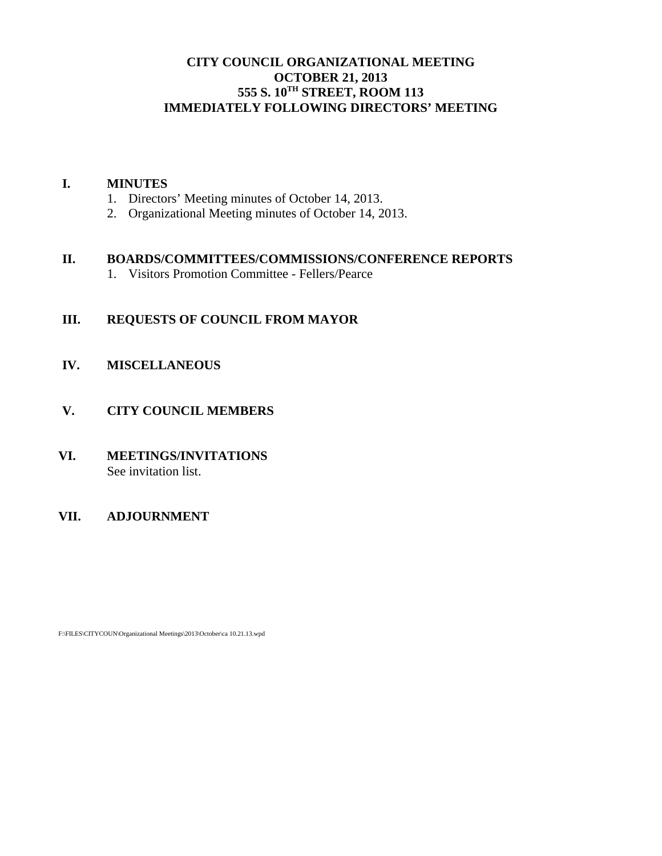# **CITY COUNCIL ORGANIZATIONAL MEETING OCTOBER 21, 2013 555 S. 10TH STREET, ROOM 113 IMMEDIATELY FOLLOWING DIRECTORS' MEETING**

### **I. MINUTES**

- 1. Directors' Meeting minutes of October 14, 2013.
- 2. Organizational Meeting minutes of October 14, 2013.

## **II. BOARDS/COMMITTEES/COMMISSIONS/CONFERENCE REPORTS**

1. Visitors Promotion Committee - Fellers/Pearce

# **III. REQUESTS OF COUNCIL FROM MAYOR**

## **IV. MISCELLANEOUS**

# **V. CITY COUNCIL MEMBERS**

**VI. MEETINGS/INVITATIONS** See invitation list.

# **VII. ADJOURNMENT**

F:\FILES\CITYCOUN\Organizational Meetings\2013\October\ca 10.21.13.wpd